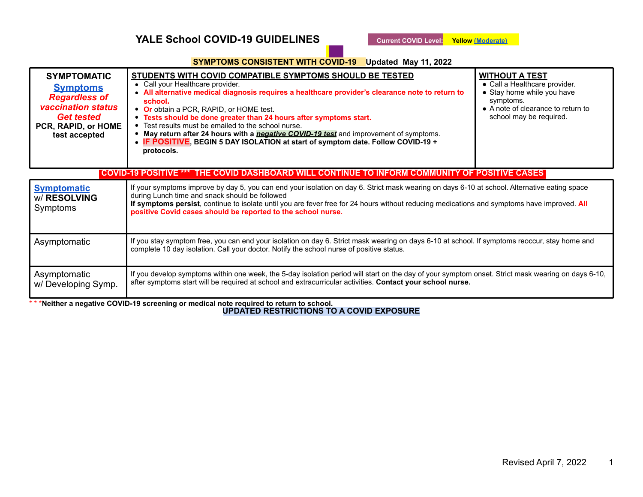# **YALE School COVID-19 GUIDELINES Current COVID Level:** Yellow (Moderate)

## **. SYMPTOMS CONSISTENT WITH COVID-19 Updated May 11, 2022**

| <b>SYMPTOMATIC</b><br><b>Symptoms</b><br><b>Regardless of</b><br><b>vaccination status</b><br><b>Get tested</b><br>PCR, RAPID, or HOME<br>test accepted | <u>STUDENTS WITH COVID COMPATIBLE SYMPTOMS SHOULD BE TESTED</u><br>• Call your Healthcare provider.<br>• All alternative medical diagnosis requires a healthcare provider's clearance note to return to<br>school.<br>• Or obtain a PCR, RAPID, or HOME test.<br>• Tests should be done greater than 24 hours after symptoms start.<br>• Test results must be emailed to the school nurse.<br>• May return after 24 hours with a <i>negative COVID-19 test</i> and improvement of symptoms.<br>• IF POSITIVE, BEGIN 5 DAY ISOLATION at start of symptom date. Follow COVID-19 +<br>protocols. | <b>WITHOUT A TEST</b><br>• Call a Healthcare provider.<br>• Stay home while you have<br>symptoms.<br>• A note of clearance to return to<br>school may be required. |  |
|---------------------------------------------------------------------------------------------------------------------------------------------------------|-----------------------------------------------------------------------------------------------------------------------------------------------------------------------------------------------------------------------------------------------------------------------------------------------------------------------------------------------------------------------------------------------------------------------------------------------------------------------------------------------------------------------------------------------------------------------------------------------|--------------------------------------------------------------------------------------------------------------------------------------------------------------------|--|
| COVID-19 POSITIVE ***  THE COVID DASHBOARD WILL CONTINUE TO INFORM COMMUNITY OF POSITIVE CASES                                                          |                                                                                                                                                                                                                                                                                                                                                                                                                                                                                                                                                                                               |                                                                                                                                                                    |  |
| <b>Symptomatic</b><br>w/ RESOLVING<br>Symptoms                                                                                                          | If your symptoms improve by day 5, you can end your isolation on day 6. Strict mask wearing on days 6-10 at school. Alternative eating space<br>during Lunch time and snack should be followed<br>If symptoms persist, continue to isolate until you are fever free for 24 hours without reducing medications and symptoms have improved. All<br>positive Covid cases should be reported to the school nurse.                                                                                                                                                                                 |                                                                                                                                                                    |  |
| Asymptomatic                                                                                                                                            | If you stay symptom free, you can end your isolation on day 6. Strict mask wearing on days 6-10 at school. If symptoms reoccur, stay home and<br>complete 10 day isolation. Call your doctor. Notify the school nurse of positive status.                                                                                                                                                                                                                                                                                                                                                     |                                                                                                                                                                    |  |
| Asymptomatic<br>w/Developing Symp.<br>$\mathbf{a}$ $\mathbf{a}$ $\mathbf{a}$                                                                            | If you develop symptoms within one week, the 5-day isolation period will start on the day of your symptom onset. Strict mask wearing on days 6-10,<br>after symptoms start will be required at school and extracurricular activities. Contact your school nurse.<br>$\mathbf{r}$ , $\mathbf{r}$ , $\mathbf{r}$ , $\mathbf{r}$ , $\mathbf{r}$ , $\mathbf{r}$ , $\mathbf{r}$                                                                                                                                                                                                                    |                                                                                                                                                                    |  |

\* \* \***Neither a negative COVID-19 screening or medical note required to return to school. UPDATED RESTRICTIONS TO A COVID EXPOSURE**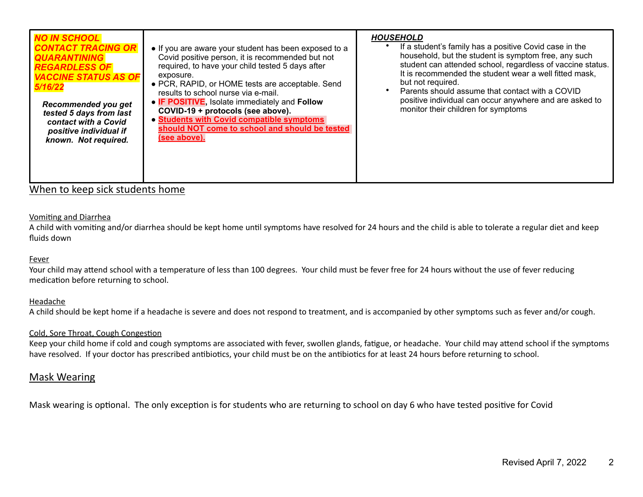| <b>NO IN SCHOOL</b><br><b>CONTACT TRACING OR</b><br><b>QUARANTINING</b><br><b>REGARDLESS OF</b><br><b>VACCINE STATUS AS OF</b><br>5/16/22<br>Recommended you get<br>tested 5 days from last<br>contact with a Covid<br>positive individual if<br>known. Not required. | • If you are aware your student has been exposed to a<br>Covid positive person, it is recommended but not<br>required, to have your child tested 5 days after<br>exposure.<br>• PCR, RAPID, or HOME tests are acceptable. Send<br>results to school nurse via e-mail.<br>• IF POSITIVE, Isolate immediately and Follow<br>COVID-19 + protocols (see above).<br>• Students with Covid compatible symptoms<br>should NOT come to school and should be tested<br>(see above). | <b>HOUSEHOLD</b><br>If a student's family has a positive Covid case in the<br>household, but the student is symptom free, any such<br>student can attended school, regardless of vaccine status.<br>It is recommended the student wear a well fitted mask,<br>but not required.<br>Parents should assume that contact with a COVID<br>positive individual can occur anywhere and are asked to<br>monitor their children for symptoms |
|-----------------------------------------------------------------------------------------------------------------------------------------------------------------------------------------------------------------------------------------------------------------------|----------------------------------------------------------------------------------------------------------------------------------------------------------------------------------------------------------------------------------------------------------------------------------------------------------------------------------------------------------------------------------------------------------------------------------------------------------------------------|--------------------------------------------------------------------------------------------------------------------------------------------------------------------------------------------------------------------------------------------------------------------------------------------------------------------------------------------------------------------------------------------------------------------------------------|
|-----------------------------------------------------------------------------------------------------------------------------------------------------------------------------------------------------------------------------------------------------------------------|----------------------------------------------------------------------------------------------------------------------------------------------------------------------------------------------------------------------------------------------------------------------------------------------------------------------------------------------------------------------------------------------------------------------------------------------------------------------------|--------------------------------------------------------------------------------------------------------------------------------------------------------------------------------------------------------------------------------------------------------------------------------------------------------------------------------------------------------------------------------------------------------------------------------------|

# When to keep sick students home

## Vomiting and Diarrhea

A child with vomiting and/or diarrhea should be kept home until symptoms have resolved for 24 hours and the child is able to tolerate a regular diet and keep fluids down

#### Fever

Your child may attend school with a temperature of less than 100 degrees. Your child must be fever free for 24 hours without the use of fever reducing medication before returning to school.

#### Headache

A child should be kept home if a headache is severe and does not respond to treatment, and is accompanied by other symptoms such as fever and/or cough.

## Cold, Sore Throat, Cough Congestion

Keep your child home if cold and cough symptoms are associated with fever, swollen glands, fatigue, or headache. Your child may attend school if the symptoms have resolved. If your doctor has prescribed antibiotics, your child must be on the antibiotics for at least 24 hours before returning to school.

# Mask Wearing

Mask wearing is optional. The only exception is for students who are returning to school on day 6 who have tested positive for Covid